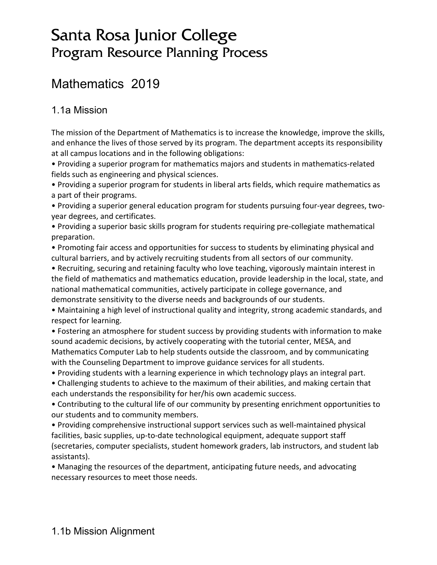# Santa Rosa Junior College Program Resource Planning Process

# Mathematics 2019

# 1.1a Mission

The mission of the Department of Mathematics is to increase the knowledge, improve the skills, and enhance the lives of those served by its program. The department accepts its responsibility at all campus locations and in the following obligations:

• Providing a superior program for mathematics majors and students in mathematics-related fields such as engineering and physical sciences.

• Providing a superior program for students in liberal arts fields, which require mathematics as a part of their programs.

• Providing a superior general education program for students pursuing four-year degrees, twoyear degrees, and certificates.

• Providing a superior basic skills program for students requiring pre-collegiate mathematical preparation.

• Promoting fair access and opportunities for success to students by eliminating physical and cultural barriers, and by actively recruiting students from all sectors of our community.

• Recruiting, securing and retaining faculty who love teaching, vigorously maintain interest in the field of mathematics and mathematics education, provide leadership in the local, state, and national mathematical communities, actively participate in college governance, and demonstrate sensitivity to the diverse needs and backgrounds of our students.

• Maintaining a high level of instructional quality and integrity, strong academic standards, and respect for learning.

• Fostering an atmosphere for student success by providing students with information to make sound academic decisions, by actively cooperating with the tutorial center, MESA, and Mathematics Computer Lab to help students outside the classroom, and by communicating with the Counseling Department to improve guidance services for all students.

• Providing students with a learning experience in which technology plays an integral part.

• Challenging students to achieve to the maximum of their abilities, and making certain that each understands the responsibility for her/his own academic success.

• Contributing to the cultural life of our community by presenting enrichment opportunities to our students and to community members.

• Providing comprehensive instructional support services such as well-maintained physical facilities, basic supplies, up-to-date technological equipment, adequate support staff (secretaries, computer specialists, student homework graders, lab instructors, and student lab assistants).

• Managing the resources of the department, anticipating future needs, and advocating necessary resources to meet those needs.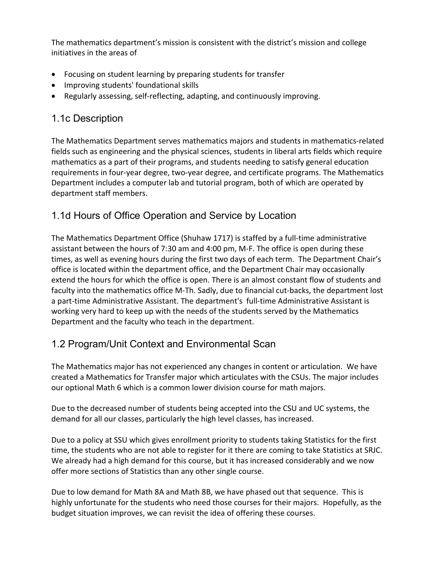The mathematics department's mission is consistent with the district's mission and college initiatives in the areas of

- Focusing on student learning by preparing students for transfer
- Improving students' foundational skills
- Regularly assessing, self-reflecting, adapting, and continuously improving.

# 1.1c Description

The Mathematics Department serves mathematics majors and students in mathematics-related fields such as engineering and the physical sciences, students in liberal arts fields which require mathematics as a part of their programs, and students needing to satisfy general education requirements in four-year degree, two-year degree, and certificate programs. The Mathematics Department includes a computer lab and tutorial program, both of which are operated by department staff members.

# 1.1d Hours of Office Operation and Service by Location

The Mathematics Department Office (Shuhaw 1717) is staffed by a full-time administrative assistant between the hours of 7:30 am and 4:00 pm, M-F. The office is open during these times, as well as evening hours during the first two days of each term. The Department Chair's office is located within the department office, and the Department Chair may occasionally extend the hours for which the office is open. There is an almost constant flow of students and faculty into the mathematics office M-Th. Sadly, due to financial cut-backs, the department lost a part-time Administrative Assistant. The department's full-time Administrative Assistant is working very hard to keep up with the needs of the students served by the Mathematics Department and the faculty who teach in the department.

# 1.2 Program/Unit Context and Environmental Scan

The Mathematics major has not experienced any changes in content or articulation. We have created a Mathematics for Transfer major which articulates with the CSUs. The major includes our optional Math 6 which is a common lower division course for math majors.

Due to the decreased number of students being accepted into the CSU and UC systems, the demand for all our classes, particularly the high level classes, has increased.

Due to a policy at SSU which gives enrollment priority to students taking Statistics for the first time, the students who are not able to register for it there are coming to take Statistics at SRJC. We already had a high demand for this course, but it has increased considerably and we now offer more sections of Statistics than any other single course.

Due to low demand for Math 8A and Math 8B, we have phased out that sequence. This is highly unfortunate for the students who need those courses for their majors. Hopefully, as the budget situation improves, we can revisit the idea of offering these courses.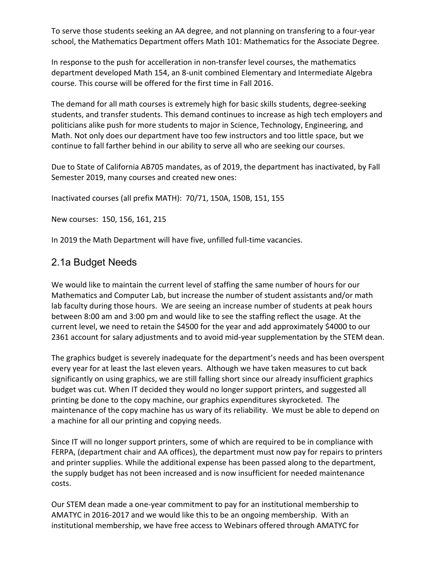To serve those students seeking an AA degree, and not planning on transfering to a four-year school, the Mathematics Department offers Math 101: Mathematics for the Associate Degree.

In response to the push for accelleration in non-transfer level courses, the mathematics department developed Math 154, an 8-unit combined Elementary and Intermediate Algebra course. This course will be offered for the first time in Fall 2016.

The demand for all math courses is extremely high for basic skills students, degree-seeking students, and transfer students. This demand continues to increase as high tech employers and politicians alike push for more students to major in Science, Technology, Engineering, and Math. Not only does our department have too few instructors and too little space, but we continue to fall farther behind in our ability to serve all who are seeking our courses.

Due to State of California AB705 mandates, as of 2019, the department has inactivated, by Fall Semester 2019, many courses and created new ones:

Inactivated courses (all prefix MATH): 70/71, 150A, 150B, 151, 155

New courses: 150, 156, 161, 215

In 2019 the Math Department will have five, unfilled full-time vacancies.

### 2.1a Budget Needs

We would like to maintain the current level of staffing the same number of hours for our Mathematics and Computer Lab, but increase the number of student assistants and/or math lab faculty during those hours. We are seeing an increase number of students at peak hours between 8:00 am and 3:00 pm and would like to see the staffing reflect the usage. At the current level, we need to retain the \$4500 for the year and add approximately \$4000 to our 2361 account for salary adjustments and to avoid mid-year supplementation by the STEM dean.

The graphics budget is severely inadequate for the department's needs and has been overspent every year for at least the last eleven years. Although we have taken measures to cut back significantly on using graphics, we are still falling short since our already insufficient graphics budget was cut. When IT decided they would no longer support printers, and suggested all printing be done to the copy machine, our graphics expenditures skyrocketed. The maintenance of the copy machine has us wary of its reliability. We must be able to depend on a machine for all our printing and copying needs.

Since IT will no longer support printers, some of which are required to be in compliance with FERPA, (department chair and AA offices), the department must now pay for repairs to printers and printer supplies. While the additional expense has been passed along to the department, the supply budget has not been increased and is now insufficient for needed maintenance costs.

Our STEM dean made a one-year commitment to pay for an institutional membership to AMATYC in 2016-2017 and we would like this to be an ongoing membership. With an institutional membership, we have free access to Webinars offered through AMATYC for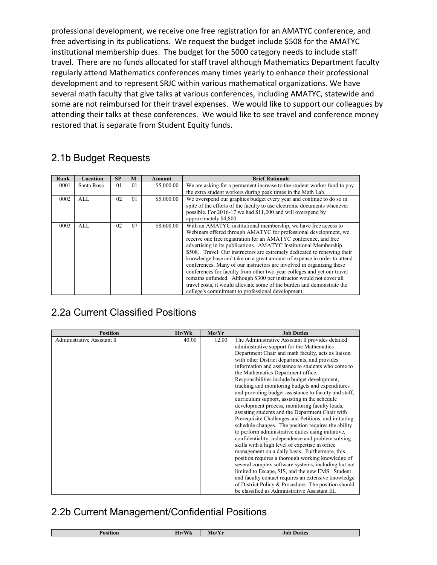professional development, we receive one free registration for an AMATYC conference, and free advertising in its publications. We request the budget include \$508 for the AMATYC institutional membership dues. The budget for the 5000 category needs to include staff travel. There are no funds allocated for staff travel although Mathematics Department faculty regularly attend Mathematics conferences many times yearly to enhance their professional development and to represent SRJC within various mathematical organizations. We have several math faculty that give talks at various conferences, including AMATYC, statewide and some are not reimbursed for their travel expenses. We would like to support our colleagues by attending their talks at these conferences. We would like to see travel and conference money restored that is separate from Student Equity funds.

# 2.1b Budget Requests

| Rank | Location   | <b>SP</b>      | M              | Amount     | <b>Brief Rationale</b>                                                   |
|------|------------|----------------|----------------|------------|--------------------------------------------------------------------------|
| 0001 | Santa Rosa | 0 <sub>1</sub> | 01             | \$5,000.00 | We are asking for a permanent increase to the student worker fund to pay |
|      |            |                |                |            | the extra student workers during peak times in the Math Lab.             |
| 0002 | AI.        | 02             | 0 <sub>1</sub> | \$5,000.00 | We overspend our graphics budget every year and continue to do so in     |
|      |            |                |                |            | spite of the efforts of the faculty to use electronic documents whenever |
|      |            |                |                |            | possible. For 2016-17 we had \$11,200 and will overspend by              |
|      |            |                |                |            | approximately \$4,800.                                                   |
| 0003 | AI.        | 02             | 07             | \$8,608.00 | With an AMATYC institutional membership, we have free access to          |
|      |            |                |                |            | Webinars offered through AMATYC for professional development, we         |
|      |            |                |                |            | receive one free registration for an AMATYC conference, and free         |
|      |            |                |                |            | advertising in its publications. AMATYC Institutional Membership         |
|      |            |                |                |            | \$508. Travel: Our instructors are extremely dedicated to renewing their |
|      |            |                |                |            | knowledge base and take on a great amount of expense in order to attend  |
|      |            |                |                |            | conferences. Many of our instructors are involved in organizing these    |
|      |            |                |                |            | conferences for faculty from other two-year colleges and yet our travel  |
|      |            |                |                |            | remains unfunded. Although \$300 per instructor would not cover all      |
|      |            |                |                |            | travel costs, it would alleviate some of the burden and demonstrate the  |
|      |            |                |                |            | college's commitment to professional development.                        |

# 2.2a Current Classified Positions

| <b>Position</b>             | Hr/Wk | Mo/Yr | <b>Job Duties</b>                                     |
|-----------------------------|-------|-------|-------------------------------------------------------|
| Administrative Assistant II | 40.00 | 12.00 | The Administrative Assistant II provides detailed     |
|                             |       |       | administrative support for the Mathematics            |
|                             |       |       | Department Chair and math faculty, acts as liaison    |
|                             |       |       | with other District departments, and provides         |
|                             |       |       | information and assistance to students who come to    |
|                             |       |       | the Mathematics Department office.                    |
|                             |       |       | Responsibilities include budget development,          |
|                             |       |       | tracking and monitoring budgets and expenditures      |
|                             |       |       | and providing budget assistance to faculty and staff, |
|                             |       |       | curriculum support, assisting in the schedule         |
|                             |       |       | development process, monitoring faculty loads,        |
|                             |       |       | assisting students and the Department Chair with      |
|                             |       |       | Prerequisite Challenges and Petitions, and initiating |
|                             |       |       | schedule changes. The position requires the ability   |
|                             |       |       | to perform administrative duties using initiative,    |
|                             |       |       | confidentiality, independence and problem solving     |
|                             |       |       | skills with a high level of expertise in office       |
|                             |       |       | management on a daily basis. Furthermore, this        |
|                             |       |       | position requires a thorough working knowledge of     |
|                             |       |       | several complex software systems, including but not   |
|                             |       |       | limited to Escape, SIS, and the new EMS. Student      |
|                             |       |       | and faculty contact requires an extensive knowledge   |
|                             |       |       | of District Policy & Procedure. The position should   |
|                             |       |       | be classified as Administrative Assistant III.        |

# 2.2b Current Management/Confidential Positions

| .<br>ion | $\mathbf{N}$<br><b>TY</b><br>$T \times T$<br>$M_0$<br>Hr/<br>VV K<br>. |  | Duties<br>Jo! |  |  |
|----------|------------------------------------------------------------------------|--|---------------|--|--|
|          |                                                                        |  |               |  |  |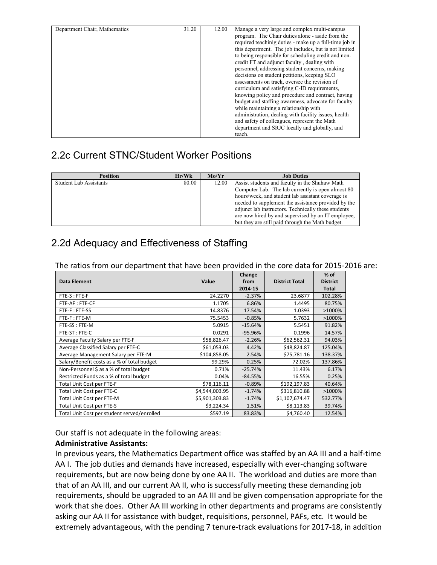| Department Chair, Mathematics | 31.20 | 12.00 | Manage a very large and complex multi-campus           |
|-------------------------------|-------|-------|--------------------------------------------------------|
|                               |       |       | program. The Chair duties alone - aside from the       |
|                               |       |       | required teachinig duties - make up a full-time job in |
|                               |       |       | this department. The job includes, but is not limited  |
|                               |       |       | to being responsible for scheduling credit and non-    |
|                               |       |       | credit FT and adjunct faculty, dealing with            |
|                               |       |       | personnel, addressing student concerns, making         |
|                               |       |       | decisions on student petitions, keeping SLO            |
|                               |       |       | assessments on track, oversee the revision of          |
|                               |       |       | curriculum and satisfying C-ID requirements.           |
|                               |       |       | knowing policy and procedure and contract, having      |
|                               |       |       | budget and staffing awareness, advocate for faculty    |
|                               |       |       | while maintaining a relationship with                  |
|                               |       |       | administration, dealing with facility issues, health   |
|                               |       |       | and safety of colleagues, represent the Math           |
|                               |       |       | department and SRJC locally and globally, and          |
|                               |       |       | teach.                                                 |

# 2.2c Current STNC/Student Worker Positions

| <b>Position</b>               | Hr/Wk | Mo/Yr | <b>Job Duties</b>                                   |
|-------------------------------|-------|-------|-----------------------------------------------------|
| <b>Student Lab Assistants</b> | 80.00 | 12.00 | Assist students and faculty in the Shuhaw Math      |
|                               |       |       | Computer Lab. The lab currently is open almost 80   |
|                               |       |       | hours/week, and student lab assistant coverage is   |
|                               |       |       | needed to supplement the assistance provided by the |
|                               |       |       | adjunct lab instructors. Technically these students |
|                               |       |       | are now hired by and supervised by an IT employee,  |
|                               |       |       | but they are still paid through the Math budget.    |

# 2.2d Adequacy and Effectiveness of Staffing

| The ratios from our department that have been provided in the core data for 2015-2016 are: |  |
|--------------------------------------------------------------------------------------------|--|
|--------------------------------------------------------------------------------------------|--|

|                                             |                | Change    |                       | $%$ of          |
|---------------------------------------------|----------------|-----------|-----------------------|-----------------|
| <b>Data Element</b>                         | Value          | from      | <b>District Total</b> | <b>District</b> |
|                                             |                | 2014-15   |                       | <b>Total</b>    |
| FTE-S: FTE-F                                | 24.2270        | $-2.37%$  | 23.6877               | 102.28%         |
| FTE-AF: FTE-CF                              | 1.1705         | 6.86%     | 1.4495                | 80.75%          |
| FTE-F: FTE-SS                               | 14.8376        | 17.54%    | 1.0393                | >1000%          |
| FTE-F: FTE-M                                | 75.5453        | $-0.85%$  | 5.7632                | >1000%          |
| FTE-SS : FTE-M                              | 5.0915         | $-15.64%$ | 5.5451                | 91.82%          |
| FTE-ST: FTE-C                               | 0.0291         | $-95.96%$ | 0.1996                | 14.57%          |
| Average Faculty Salary per FTE-F            | \$58,826.47    | $-2.26%$  | \$62,562.31           | 94.03%          |
| Average Classified Salary per FTE-C         | \$61,053.03    | 4.42%     | \$48,824.87           | 125.04%         |
| Average Management Salary per FTE-M         | \$104,858.05   | 2.54%     | \$75,781.16           | 138.37%         |
| Salary/Benefit costs as a % of total budget | 99.29%         | 0.25%     | 72.02%                | 137.86%         |
| Non-Personnel \$ as a % of total budget     | 0.71%          | $-25.74%$ | 11.43%                | 6.17%           |
| Restricted Funds as a % of total budget     | 0.04%          | $-84.55%$ | 16.55%                | 0.25%           |
| Total Unit Cost per FTE-F                   | \$78,116.11    | $-0.89%$  | \$192,197.83          | 40.64%          |
| Total Unit Cost per FTE-C                   | \$4,544,003.95 | $-1.74%$  | \$316,810.88          | >1000%          |
| Total Unit Cost per FTE-M                   | \$5,901,303.83 | $-1.74%$  | \$1,107,674.47        | 532.77%         |
| Total Unit Cost per FTE-S                   | \$3,224.34     | 1.51%     | \$8,113.83            | 39.74%          |
| Total Unit Cost per student served/enrolled | \$597.19       | 83.83%    | \$4,760.40            | 12.54%          |

Our staff is not adequate in the following areas:

#### **Administrative Assistants:**

In previous years, the Mathematics Department office was staffed by an AA III and a half-time AA I. The job duties and demands have increased, especially with ever-changing software requirements, but are now being done by one AA II. The workload and duties are more than that of an AA III, and our current AA II, who is successfully meeting these demanding job requirements, should be upgraded to an AA III and be given compensation appropriate for the work that she does. Other AA III working in other departments and programs are consistently asking our AA II for assistance with budget, requisitions, personnel, PAFs, etc. It would be extremely advantageous, with the pending 7 tenure-track evaluations for 2017-18, in addition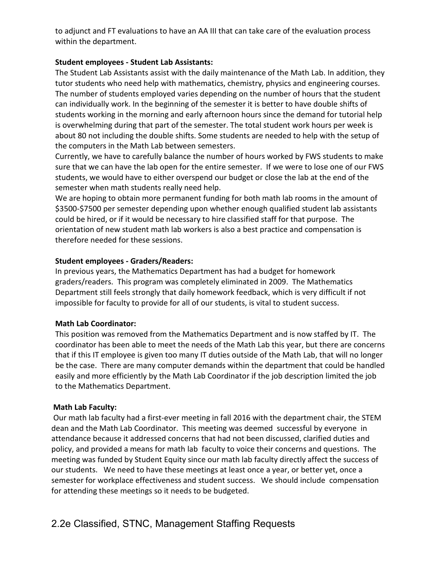to adjunct and FT evaluations to have an AA III that can take care of the evaluation process within the department.

#### **Student employees - Student Lab Assistants:**

The Student Lab Assistants assist with the daily maintenance of the Math Lab. In addition, they tutor students who need help with mathematics, chemistry, physics and engineering courses. The number of students employed varies depending on the number of hours that the student can individually work. In the beginning of the semester it is better to have double shifts of students working in the morning and early afternoon hours since the demand for tutorial help is overwhelming during that part of the semester. The total student work hours per week is about 80 not including the double shifts. Some students are needed to help with the setup of the computers in the Math Lab between semesters.

Currently, we have to carefully balance the number of hours worked by FWS students to make sure that we can have the lab open for the entire semester. If we were to lose one of our FWS students, we would have to either overspend our budget or close the lab at the end of the semester when math students really need help.

We are hoping to obtain more permanent funding for both math lab rooms in the amount of \$3500-\$7500 per semester depending upon whether enough qualified student lab assistants could be hired, or if it would be necessary to hire classified staff for that purpose. The orientation of new student math lab workers is also a best practice and compensation is therefore needed for these sessions.

#### **Student employees - Graders/Readers:**

In previous years, the Mathematics Department has had a budget for homework graders/readers. This program was completely eliminated in 2009. The Mathematics Department still feels strongly that daily homework feedback, which is very difficult if not impossible for faculty to provide for all of our students, is vital to student success.

#### **Math Lab Coordinator:**

This position was removed from the Mathematics Department and is now staffed by IT. The coordinator has been able to meet the needs of the Math Lab this year, but there are concerns that if this IT employee is given too many IT duties outside of the Math Lab, that will no longer be the case. There are many computer demands within the department that could be handled easily and more efficiently by the Math Lab Coordinator if the job description limited the job to the Mathematics Department.

#### **Math Lab Faculty:**

Our math lab faculty had a first-ever meeting in fall 2016 with the department chair, the STEM dean and the Math Lab Coordinator. This meeting was deemed successful by everyone in attendance because it addressed concerns that had not been discussed, clarified duties and policy, and provided a means for math lab faculty to voice their concerns and questions. The meeting was funded by Student Equity since our math lab faculty directly affect the success of our students. We need to have these meetings at least once a year, or better yet, once a semester for workplace effectiveness and student success. We should include compensation for attending these meetings so it needs to be budgeted.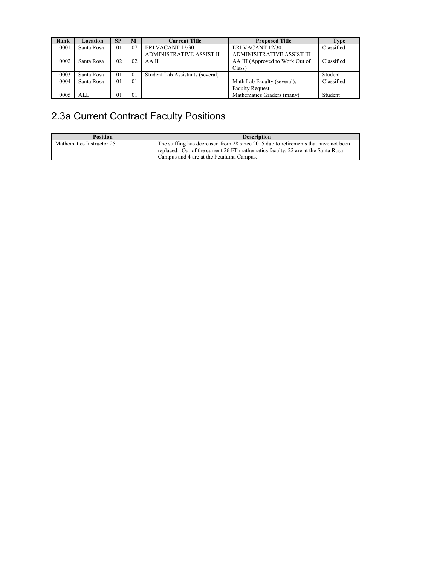| Rank | Location   | <b>SP</b>      | M              | <b>Current Title</b>             | <b>Proposed Title</b>           | Type       |
|------|------------|----------------|----------------|----------------------------------|---------------------------------|------------|
| 0001 | Santa Rosa | 01             | 07             | ERI VACANT 12/30:                | ERI VACANT 12/30:               | Classified |
|      |            |                |                | <b>ADMINISTRATIVE ASSIST II</b>  | ADMINISITRATIVE ASSIST III      |            |
| 0002 | Santa Rosa | 02             | 02             | AA II                            | AA III (Approved to Work Out of | Classified |
|      |            |                |                |                                  | Class)                          |            |
| 0003 | Santa Rosa | 0 <sub>1</sub> | 0 <sub>1</sub> | Student Lab Assistants (several) |                                 | Student    |
| 0004 | Santa Rosa | 01             | 0 <sub>1</sub> |                                  | Math Lab Faculty (several);     | Classified |
|      |            |                |                |                                  | <b>Faculty Request</b>          |            |
| 0005 | ALL.       | 01             | 01             |                                  | Mathematics Graders (many)      | Student    |

# 2.3a Current Contract Faculty Positions

| <b>Position</b>           | <b>Description</b>                                                                  |
|---------------------------|-------------------------------------------------------------------------------------|
| Mathematics Instructor 25 | The staffing has decreased from 28 since 2015 due to retirements that have not been |
|                           | replaced. Out of the current 26 FT mathematics faculty, 22 are at the Santa Rosa    |
|                           | Campus and 4 are at the Petaluma Campus.                                            |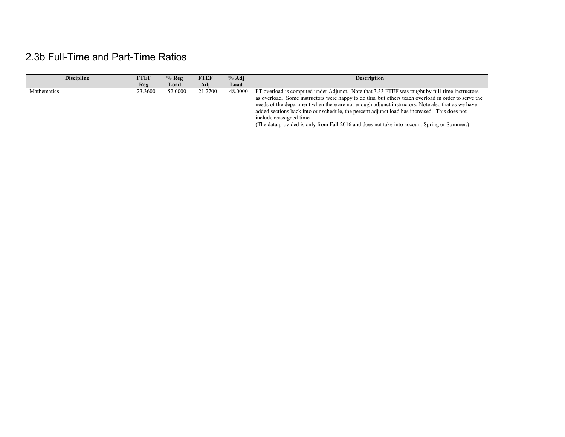# 2.3b Full-Time and Part-Time Ratios

| <b>Discipline</b> | <b>FTEF</b> | $%$ Reg | <b>FTEF</b> | $%$ Adj | <b>Description</b>                                                                                                                                                                                                                                                                                                                                                                                                                                                                                                                    |
|-------------------|-------------|---------|-------------|---------|---------------------------------------------------------------------------------------------------------------------------------------------------------------------------------------------------------------------------------------------------------------------------------------------------------------------------------------------------------------------------------------------------------------------------------------------------------------------------------------------------------------------------------------|
|                   | <b>Reg</b>  | Load    | Adi         | Load    |                                                                                                                                                                                                                                                                                                                                                                                                                                                                                                                                       |
| Mathematics       | 23.3600     | 52,0000 | 21.2700     | 48,0000 | FT overload is computed under Adjunct. Note that 3.33 FTEF was taught by full-time instructors<br>as overload. Some instructors were happy to do this, but others teach overload in order to serve the<br>needs of the department when there are not enough adjunct instructors. Note also that as we have<br>added sections back into our schedule, the percent adjunct load has increased. This does not<br>include reassigned time.<br>(The data provided is only from Fall 2016 and does not take into account Spring or Summer.) |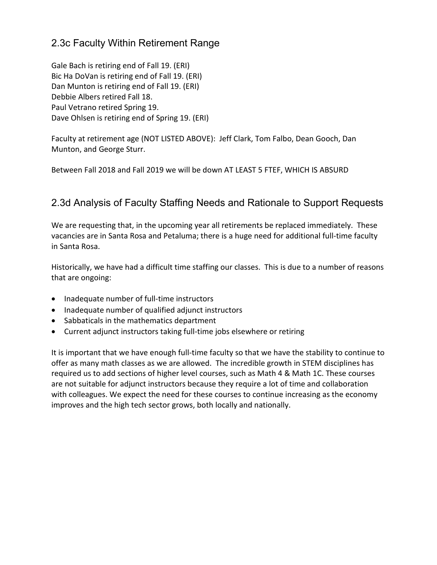### 2.3c Faculty Within Retirement Range

Gale Bach is retiring end of Fall 19. (ERI) Bic Ha DoVan is retiring end of Fall 19. (ERI) Dan Munton is retiring end of Fall 19. (ERI) Debbie Albers retired Fall 18. Paul Vetrano retired Spring 19. Dave Ohlsen is retiring end of Spring 19. (ERI)

Faculty at retirement age (NOT LISTED ABOVE): Jeff Clark, Tom Falbo, Dean Gooch, Dan Munton, and George Sturr.

Between Fall 2018 and Fall 2019 we will be down AT LEAST 5 FTEF, WHICH IS ABSURD

# 2.3d Analysis of Faculty Staffing Needs and Rationale to Support Requests

We are requesting that, in the upcoming year all retirements be replaced immediately. These vacancies are in Santa Rosa and Petaluma; there is a huge need for additional full-time faculty in Santa Rosa.

Historically, we have had a difficult time staffing our classes. This is due to a number of reasons that are ongoing:

- Inadequate number of full-time instructors
- Inadequate number of qualified adjunct instructors
- Sabbaticals in the mathematics department
- Current adjunct instructors taking full-time jobs elsewhere or retiring

It is important that we have enough full-time faculty so that we have the stability to continue to offer as many math classes as we are allowed. The incredible growth in STEM disciplines has required us to add sections of higher level courses, such as Math 4 & Math 1C. These courses are not suitable for adjunct instructors because they require a lot of time and collaboration with colleagues. We expect the need for these courses to continue increasing as the economy improves and the high tech sector grows, both locally and nationally.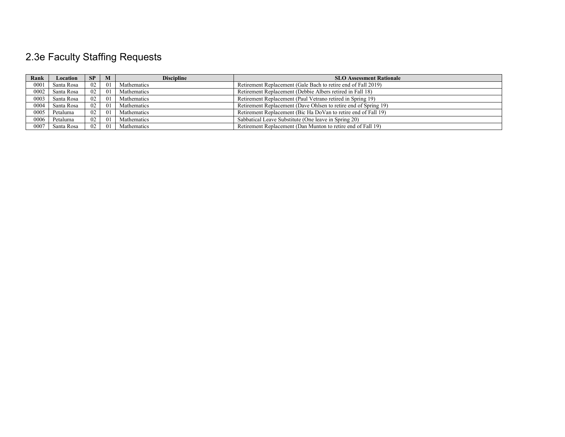# 2.3e Faculty Staffing Requests

| Rank | <b>Location</b> | <b>SP</b> | M  | <b>Discipline</b> | <b>SLO Assessment Rationale</b>                                 |
|------|-----------------|-----------|----|-------------------|-----------------------------------------------------------------|
| 0001 | Santa Rosa      | 02        | 01 | Mathematics       | Retirement Replacement (Gale Bach to retire end of Fall 2019)   |
| 0002 | Santa Rosa      | 02        | 01 | Mathematics       | Retirement Replacement (Debbie Albers retired in Fall 18)       |
| 0003 | Santa Rosa      | 02        | 01 | Mathematics       | Retirement Replacement (Paul Vetrano retired in Spring 19)      |
| 0004 | Santa Rosa      | 02        | 01 | Mathematics       | Retirement Replacement (Dave Ohlsen to retire end of Spring 19) |
| 0005 | Petaluma        | 02        | 01 | Mathematics       | Retirement Replacement (Bic Ha DoVan to retire end of Fall 19)  |
| 0006 | Petaluma        | 02        | 01 | Mathematics       | Sabbatical Leave Substitute (One leave in Spring 20)            |
| 0007 | Santa Rosa      | 02        | 01 | Mathematics       | Retirement Replacement (Dan Munton to retire end of Fall 19)    |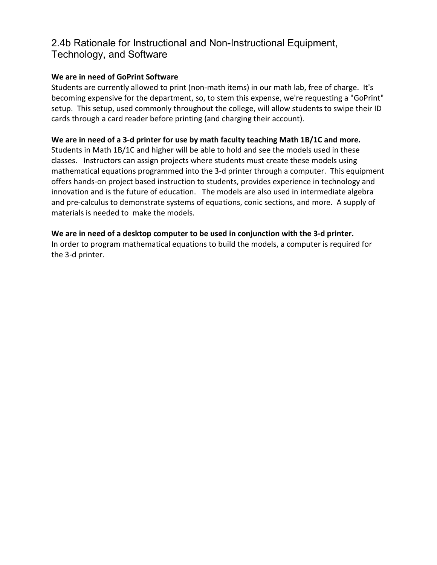### 2.4b Rationale for Instructional and Non-Instructional Equipment, Technology, and Software

#### **We are in need of GoPrint Software**

Students are currently allowed to print (non-math items) in our math lab, free of charge. It's becoming expensive for the department, so, to stem this expense, we're requesting a "GoPrint" setup. This setup, used commonly throughout the college, will allow students to swipe their ID cards through a card reader before printing (and charging their account).

#### **We are in need of a 3-d printer for use by math faculty teaching Math 1B/1C and more.**

Students in Math 1B/1C and higher will be able to hold and see the models used in these classes. Instructors can assign projects where students must create these models using mathematical equations programmed into the 3-d printer through a computer. This equipment offers hands-on project based instruction to students, provides experience in technology and innovation and is the future of education. The models are also used in intermediate algebra and pre-calculus to demonstrate systems of equations, conic sections, and more. A supply of materials is needed to make the models.

#### **We are in need of a desktop computer to be used in conjunction with the 3-d printer.**

In order to program mathematical equations to build the models, a computer is required for the 3-d printer.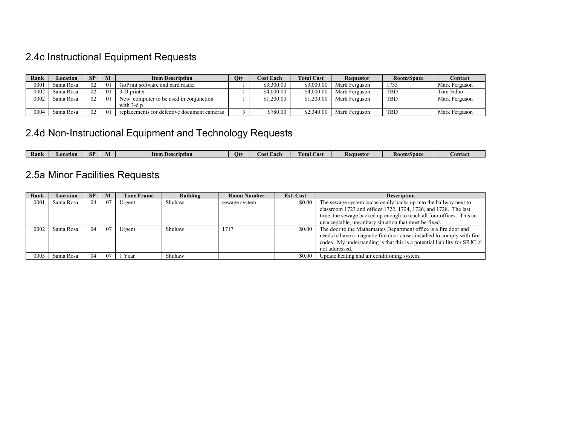# 2.4c Instructional Equipment Requests

| Rank | Location   | SP | M               | <b>Item Description</b>                     | Qty | <b>Cost Each</b> | <b>Total Cost</b> | Requestor     | Room/Space | Contact       |
|------|------------|----|-----------------|---------------------------------------------|-----|------------------|-------------------|---------------|------------|---------------|
| 0001 | Santa Rosa | 02 | 01              | GoPrint software and card reader            |     | \$3,300.00       | \$3,000.00        | Mark Ferguson | 1733       | Mark Ferguson |
| 0002 | Santa Rosa | 02 | $\overline{01}$ | 3-D printer                                 |     | \$4.000.00       | \$4,000.00        | Mark Ferguson | <b>TBD</b> | Tom Falbo     |
| 0002 | Santa Rosa | 02 | 0 <sub>1</sub>  | New computer to be used in conjunction      |     | \$1.200.00       | \$1,200.00        | Mark Ferguson | <b>TBD</b> | Mark Ferguson |
|      |            |    |                 | with 3-d p                                  |     |                  |                   |               |            |               |
| 0004 | Santa Rosa | 02 | 0 <sub>1</sub>  | replacements for defective document cameras |     | \$780.00         | \$2,340.00        | Mark Ferguson | <b>TBD</b> | Mark Ferguson |

# 2.4d Non-Instructional Equipment and Technology Requests

|  | Rank | eation:<br>. OG | . .<br>ச | W | <b>Item</b><br>Description | Otv | Lach -<br><b>COST</b> | --<br>l ota<br>.`ost | Requestor | . .<br>Room/Space | ∪ontac |
|--|------|-----------------|----------|---|----------------------------|-----|-----------------------|----------------------|-----------|-------------------|--------|
|--|------|-----------------|----------|---|----------------------------|-----|-----------------------|----------------------|-----------|-------------------|--------|

# 2.5a Minor Facilities Requests

| Rank | Location   | <b>SP</b> | M   | <b>Time Frame</b> | <b>Building</b> | <b>Room Number</b> | <b>Est. Cost</b> | <b>Description</b>                                                        |
|------|------------|-----------|-----|-------------------|-----------------|--------------------|------------------|---------------------------------------------------------------------------|
| 0001 | Santa Rosa | 04        | 07  | Urgent            | Shuhaw          | sewage system      | \$0.00           | The sewage system occasionally backs up into the hallway next to          |
|      |            |           |     |                   |                 |                    |                  | classroom 1723 and offices 1722, 1724, 1726, and 1728. The last           |
|      |            |           |     |                   |                 |                    |                  | time, the sewage backed up enough to reach all four offices. This an      |
|      |            |           |     |                   |                 |                    |                  | unacceptable, unsanitary situation that must be fixed.                    |
| 0002 | Santa Rosa | 04        | -07 | Urgent            | Shuhaw          | 1717               | \$0.00           | The door to the Mathematics Department office is a fire door and          |
|      |            |           |     |                   |                 |                    |                  | needs to have a magnetic fire door closer installed to comply with fire   |
|      |            |           |     |                   |                 |                    |                  | codes. My understanding is that this is a potential liability for SRJC if |
|      |            |           |     |                   |                 |                    |                  | not addressed.                                                            |
| 0003 | Santa Rosa | 04        | 07  | Year              | Shuhaw          |                    | \$0.00           | Update heating and air conditioning system.                               |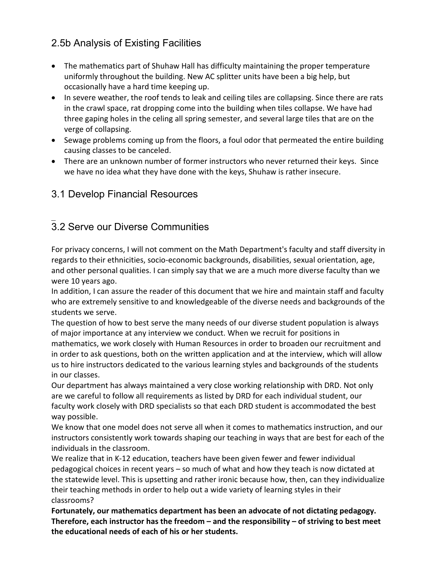# 2.5b Analysis of Existing Facilities

- The mathematics part of Shuhaw Hall has difficulty maintaining the proper temperature uniformly throughout the building. New AC splitter units have been a big help, but occasionally have a hard time keeping up.
- In severe weather, the roof tends to leak and ceiling tiles are collapsing. Since there are rats in the crawl space, rat dropping come into the building when tiles collapse. We have had three gaping holes in the celing all spring semester, and several large tiles that are on the verge of collapsing.
- Sewage problems coming up from the floors, a foul odor that permeated the entire building causing classes to be canceled.
- There are an unknown number of former instructors who never returned their keys. Since we have no idea what they have done with the keys, Shuhaw is rather insecure.

# 3.1 Develop Financial Resources

#### $\overline{\phantom{a}}$ 3.2 Serve our Diverse Communities

For privacy concerns, I will not comment on the Math Department's faculty and staff diversity in regards to their ethnicities, socio-economic backgrounds, disabilities, sexual orientation, age, and other personal qualities. I can simply say that we are a much more diverse faculty than we were 10 years ago.

In addition, I can assure the reader of this document that we hire and maintain staff and faculty who are extremely sensitive to and knowledgeable of the diverse needs and backgrounds of the students we serve.

The question of how to best serve the many needs of our diverse student population is always of major importance at any interview we conduct. When we recruit for positions in mathematics, we work closely with Human Resources in order to broaden our recruitment and in order to ask questions, both on the written application and at the interview, which will allow us to hire instructors dedicated to the various learning styles and backgrounds of the students in our classes.

Our department has always maintained a very close working relationship with DRD. Not only are we careful to follow all requirements as listed by DRD for each individual student, our faculty work closely with DRD specialists so that each DRD student is accommodated the best way possible.

We know that one model does not serve all when it comes to mathematics instruction, and our instructors consistently work towards shaping our teaching in ways that are best for each of the individuals in the classroom.

We realize that in K-12 education, teachers have been given fewer and fewer individual pedagogical choices in recent years – so much of what and how they teach is now dictated at the statewide level. This is upsetting and rather ironic because how, then, can they individualize their teaching methods in order to help out a wide variety of learning styles in their classrooms?

**Fortunately, our mathematics department has been an advocate of not dictating pedagogy. Therefore, each instructor has the freedom – and the responsibility – of striving to best meet the educational needs of each of his or her students.**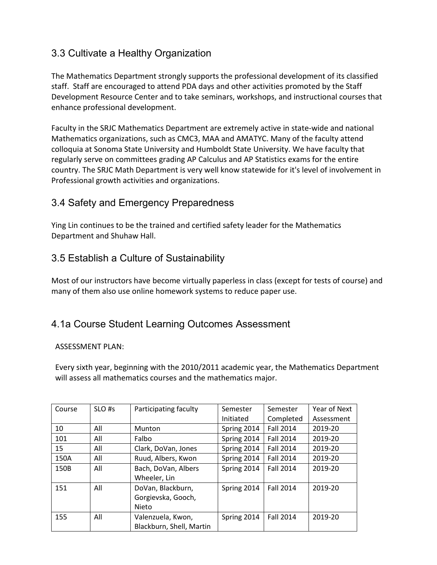# 3.3 Cultivate a Healthy Organization

The Mathematics Department strongly supports the professional development of its classified staff. Staff are encouraged to attend PDA days and other activities promoted by the Staff Development Resource Center and to take seminars, workshops, and instructional courses that enhance professional development.

Faculty in the SRJC Mathematics Department are extremely active in state-wide and national Mathematics organizations, such as CMC3, MAA and AMATYC. Many of the faculty attend colloquia at Sonoma State University and Humboldt State University. We have faculty that regularly serve on committees grading AP Calculus and AP Statistics exams for the entire country. The SRJC Math Department is very well know statewide for it's level of involvement in Professional growth activities and organizations.

# 3.4 Safety and Emergency Preparedness

Ying Lin continues to be the trained and certified safety leader for the Mathematics Department and Shuhaw Hall.

# 3.5 Establish a Culture of Sustainability

Most of our instructors have become virtually paperless in class (except for tests of course) and many of them also use online homework systems to reduce paper use.

# 4.1a Course Student Learning Outcomes Assessment

#### ASSESSMENT PLAN:

Every sixth year, beginning with the 2010/2011 academic year, the Mathematics Department will assess all mathematics courses and the mathematics major.

| Course | SLO <sub>#s</sub> | Participating faculty    | Semester<br>Initiated | Semester<br>Completed | Year of Next<br>Assessment |
|--------|-------------------|--------------------------|-----------------------|-----------------------|----------------------------|
| 10     | All               | <b>Munton</b>            | Spring 2014           | <b>Fall 2014</b>      | 2019-20                    |
| 101    | All               | Falbo                    | Spring 2014           | <b>Fall 2014</b>      | 2019-20                    |
| 15     | All               | Clark, DoVan, Jones      | Spring 2014           | <b>Fall 2014</b>      | 2019-20                    |
| 150A   | All               | Ruud, Albers, Kwon       | Spring 2014           | <b>Fall 2014</b>      | 2019-20                    |
| 150B   | All               | Bach, DoVan, Albers      | Spring 2014           | <b>Fall 2014</b>      | 2019-20                    |
|        |                   | Wheeler, Lin             |                       |                       |                            |
| 151    | All               | DoVan, Blackburn,        | Spring 2014           | <b>Fall 2014</b>      | 2019-20                    |
|        |                   | Gorgievska, Gooch,       |                       |                       |                            |
|        |                   | Nieto                    |                       |                       |                            |
| 155    | All               | Valenzuela, Kwon,        | Spring 2014           | <b>Fall 2014</b>      | 2019-20                    |
|        |                   | Blackburn, Shell, Martin |                       |                       |                            |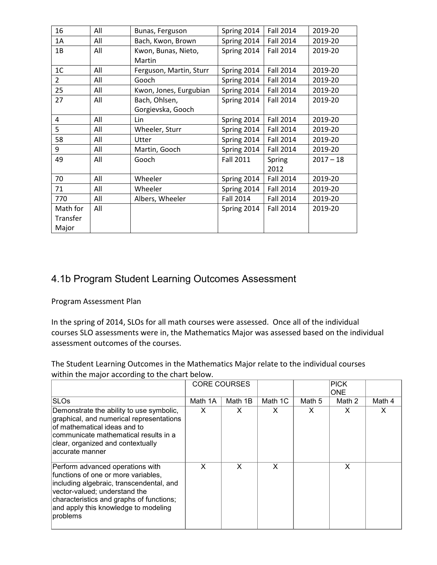| 16             | All | Bunas, Ferguson         | Spring 2014      | <b>Fall 2014</b> | 2019-20     |
|----------------|-----|-------------------------|------------------|------------------|-------------|
| 1A             | All | Bach, Kwon, Brown       | Spring 2014      | <b>Fall 2014</b> | 2019-20     |
| 1B             | All | Kwon, Bunas, Nieto,     | Spring 2014      | <b>Fall 2014</b> | 2019-20     |
|                |     | Martin                  |                  |                  |             |
| 1 <sup>C</sup> | All | Ferguson, Martin, Sturr | Spring 2014      | <b>Fall 2014</b> | 2019-20     |
| $\overline{2}$ | All | Gooch                   | Spring 2014      | <b>Fall 2014</b> | 2019-20     |
| 25             | All | Kwon, Jones, Eurgubian  | Spring 2014      | <b>Fall 2014</b> | 2019-20     |
| 27             | All | Bach, Ohlsen,           | Spring 2014      | <b>Fall 2014</b> | 2019-20     |
|                |     | Gorgievska, Gooch       |                  |                  |             |
| 4              | All | Lin                     | Spring 2014      | <b>Fall 2014</b> | 2019-20     |
| 5              | All | Wheeler, Sturr          | Spring 2014      | <b>Fall 2014</b> | 2019-20     |
| 58             | All | Utter                   | Spring 2014      | <b>Fall 2014</b> | 2019-20     |
| 9              | All | Martin, Gooch           | Spring 2014      | <b>Fall 2014</b> | 2019-20     |
| 49             | All | Gooch                   | <b>Fall 2011</b> | Spring           | $2017 - 18$ |
|                |     |                         |                  | 2012             |             |
| 70             | All | Wheeler                 | Spring 2014      | <b>Fall 2014</b> | 2019-20     |
| 71             | All | Wheeler                 | Spring 2014      | <b>Fall 2014</b> | 2019-20     |
| 770            | All | Albers, Wheeler         | <b>Fall 2014</b> | <b>Fall 2014</b> | 2019-20     |
| Math for       | All |                         | Spring 2014      | <b>Fall 2014</b> | 2019-20     |
| Transfer       |     |                         |                  |                  |             |
| Major          |     |                         |                  |                  |             |

### 4.1b Program Student Learning Outcomes Assessment

Program Assessment Plan

In the spring of 2014, SLOs for all math courses were assessed. Once all of the individual courses SLO assessments were in, the Mathematics Major was assessed based on the individual assessment outcomes of the courses.

The Student Learning Outcomes in the Mathematics Major relate to the individual courses within the major according to the chart below.

|                                                                                                                                                                                                                                                      | <b>CORE COURSES</b> |         |         |        | <b>PICK</b><br><b>ONE</b> |        |
|------------------------------------------------------------------------------------------------------------------------------------------------------------------------------------------------------------------------------------------------------|---------------------|---------|---------|--------|---------------------------|--------|
| <b>SLOs</b>                                                                                                                                                                                                                                          | Math 1A             | Math 1B | Math 1C | Math 5 | Math 2                    | Math 4 |
| Demonstrate the ability to use symbolic,<br>graphical, and numerical representations<br>lof mathematical ideas and to<br>communicate mathematical results in a<br>clear, organized and contextually<br>accurate manner                               | X                   | X       | X       | X      | X                         | х      |
| Perform advanced operations with<br>functions of one or more variables.<br>including algebraic, transcendental, and<br>vector-valued; understand the<br>characteristics and graphs of functions;<br>and apply this knowledge to modeling<br>problems | X                   | X       | X       |        | X                         |        |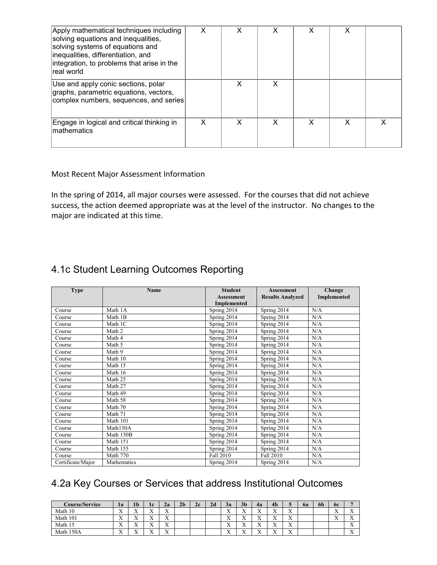| Apply mathematical techniques including<br>solving equations and inequalities,<br>solving systems of equations and<br>inequalities, differentiation, and<br>integration, to problems that arise in the<br>real world | x | x | x |   |  |
|----------------------------------------------------------------------------------------------------------------------------------------------------------------------------------------------------------------------|---|---|---|---|--|
| Use and apply conic sections, polar<br>graphs, parametric equations, vectors,<br>complex numbers, sequences, and series                                                                                              |   | X | x |   |  |
| Engage in logical and critical thinking in<br>Imathematics                                                                                                                                                           | x | x | x | x |  |

#### Most Recent Major Assessment Information

In the spring of 2014, all major courses were assessed. For the courses that did not achieve success, the action deemed appropriate was at the level of the instructor. No changes to the major are indicated at this time.

# 4.1c Student Learning Outcomes Reporting

| <b>Type</b>       | <b>Name</b> | <b>Student</b>     | <b>Assessment</b>       | Change      |
|-------------------|-------------|--------------------|-------------------------|-------------|
|                   |             | <b>Assessment</b>  | <b>Results Analyzed</b> | Implemented |
|                   |             | <b>Implemented</b> |                         |             |
| Course            | Math 1A     | Spring $2014$      | Spring 2014             | N/A         |
| Course            | Math 1B     | Spring 2014        | Spring 2014             | N/A         |
| Course            | Math 1C     | Spring 2014        | Spring 2014             | N/A         |
| Course            | Math 2      | Spring 2014        | Spring 2014             | N/A         |
| Course            | Math 4      | Spring 2014        | Spring 2014             | N/A         |
| Course            | Math 5      | Spring 2014        | Spring 2014             | N/A         |
| Course            | Math 9      | Spring 2014        | Spring 2014             | N/A         |
| Course            | Math 10     | Spring 2014        | Spring 2014             | N/A         |
| Course            | Math 15     | Spring 2014        | Spring 2014             | N/A         |
| Course            | Math 16     | Spring 2014        | Spring 2014             | N/A         |
| Course            | Math 25     | Spring 2014        | Spring 2014             | N/A         |
| Course            | Math 27     | Spring 2014        | Spring 2014             | N/A         |
| Course            | Math 49     | Spring 2014        | Spring 2014             | N/A         |
| Course            | Math 58     | Spring 2014        | Spring 2014             | N/A         |
| Course            | Math 70     | Spring 2014        | Spring 2014             | N/A         |
| Course            | Math 71     | Spring 2014        | Spring 2014             | N/A         |
| Course            | Math 101    | Spring 2014        | Spring 2014             | N/A         |
| Course            | Math150A    | Spring 2014        | Spring 2014             | N/A         |
| Course            | Math 150B   | Spring 2014        | Spring 2014             | N/A         |
| Course            | Math 151    | Spring 2014        | Spring 2014             | N/A         |
| Course            | Math 155    | Spring 2014        | Spring 2014             | N/A         |
| Course            | Math 770    | Fall 2010          | Fall 2010               | N/A         |
| Certificate/Major | Mathematics | Spring 2014        | Spring 2014             | N/A         |

### 4.2a Key Courses or Services that address Institutional Outcomes

| Course/Service | 1a                        | 1 <sub>b</sub>            | 1c                        | 2a                        | 2 <sub>b</sub> | 2c | 2d | $\rightarrow$<br>эa   | 3 <sub>b</sub>            | 4a                        | 4 <sub>b</sub>            |                           | 6a | 6b | 6c                   | -                         |
|----------------|---------------------------|---------------------------|---------------------------|---------------------------|----------------|----|----|-----------------------|---------------------------|---------------------------|---------------------------|---------------------------|----|----|----------------------|---------------------------|
| Math 10        | $\mathbf{v}$<br>$\lambda$ | $\mathbf{v}$<br>$\Lambda$ | $\mathbf{v}$<br>$\Lambda$ | $\mathbf{v}$<br>$\Lambda$ |                |    |    | <b>W</b><br>$\Lambda$ | $\mathbf{v}$<br>$\lambda$ | $\mathbf{v}$<br>$\lambda$ | $\mathbf{v}$<br>$\lambda$ | $\mathbf{v}$<br>$\Lambda$ |    |    | $-$<br>$\rightarrow$ | <b>W</b><br>$\lambda$     |
| Math 101       | $\mathbf{v}$<br>$\lambda$ | $\mathbf{v}$<br>$\Lambda$ | $\mathbf{v}$<br>$\Lambda$ | $\mathbf{v}$<br>$\Lambda$ |                |    |    | $-$<br>$\lambda$      | $\mathbf{v}$<br>$\lambda$ | $\mathbf{v}$<br>$\Lambda$ | $\mathbf{v}$<br>$\lambda$ | $\mathbf{x}$<br>$\Lambda$ |    |    | $-$<br>$\rightarrow$ | $\mathbf{v}$<br>$\lambda$ |
| Math 1         | $\mathbf{v}$<br>$\Lambda$ | $\mathbf{v}$<br>$\lambda$ | $\mathbf{v}$<br>$\Lambda$ | $\mathbf{v}$<br>$\Lambda$ |                |    |    | <b>x</b><br>$\Lambda$ | $\mathbf{v}$<br>$\lambda$ | $\mathbf{v}$<br>$\Lambda$ | $\mathbf{v}$<br>$\lambda$ | $\mathbf{x}$<br>$\Lambda$ |    |    |                      | $\mathbf{v}$<br>$\lambda$ |
| 150A<br>Math   | $\mathbf{v}$<br>$\lambda$ | $\mathbf{v}$<br>$\lambda$ | $\mathbf{v}$<br>$\Lambda$ | $\mathbf{v}$<br>$\Lambda$ |                |    |    | $-$<br>$\Lambda$      | $\mathbf{v}$<br>$\lambda$ | $\mathbf{v}$<br>$\lambda$ | $\mathbf{v}$<br>$\Lambda$ | $\mathbf{x}$<br>$\Lambda$ |    |    |                      | <b>x</b><br>$\lambda$     |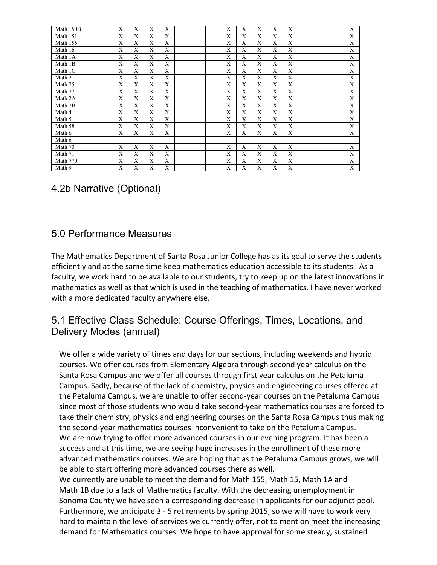| Math 150B | X | X            | X | X |  | X | X            | X | X | X |  | X |
|-----------|---|--------------|---|---|--|---|--------------|---|---|---|--|---|
| Math 151  | X | X            | X | X |  | X | $\mathbf{X}$ | X | X | X |  | X |
| Math 155  | X | X            | X | X |  | X | X            | X | X | X |  | X |
| Math 16   | X | X            | X | X |  | X | X            | X | X | X |  | X |
| Math 1A   | X | X            | X | X |  | X | X            | X | X | X |  | X |
| Math 1B   | X | X            | X | X |  | X | $\mathbf{X}$ | X | X | X |  | X |
| Math 1C   | X | $\mathbf{X}$ | X | X |  | X | $\mathbf{X}$ | X | X | X |  | X |
| Math 2    | X | X            | X | X |  | X | X            | X | X | X |  | X |
| Math 25   | X | X            | X | X |  | X | $\mathbf{X}$ | X | X | X |  | X |
| Math 27   | X | X            | X | X |  | X | X            | X | X | X |  | X |
| Math 2A   | X | X            | X | X |  | X | X            | X | X | X |  | X |
| Math 2B   | X | X            | X | X |  | X | X            | X | X | X |  | X |
| Math 4    | X | X            | X | X |  | X | X            | X | X | X |  | X |
| Math 5    | X | X            | X | X |  | X | X            | X | X | X |  | X |
| Math 58   | X | X            | X | X |  | X | X            | X | X | X |  | X |
| Math 6    | X | X            | X | X |  | X | X            | X | X | X |  | X |
| Math 6    |   |              |   |   |  |   |              |   |   |   |  |   |
| Math 70   | X | X            | X | X |  | X | X            | X | X | X |  | X |
| Math 71   | X | X            | X | X |  | X | X            | X | X | X |  | X |
| Math 770  | X | X            | X | X |  | X | X            | X | X | X |  | X |
| Math 9    | X | X            | X | X |  | X | X            | X | X | X |  | X |

# 4.2b Narrative (Optional)

### 5.0 Performance Measures

The Mathematics Department of Santa Rosa Junior College has as its goal to serve the students efficiently and at the same time keep mathematics education accessible to its students. As a faculty, we work hard to be available to our students, try to keep up on the latest innovations in mathematics as well as that which is used in the teaching of mathematics. I have never worked with a more dedicated faculty anywhere else.

### 5.1 Effective Class Schedule: Course Offerings, Times, Locations, and Delivery Modes (annual)

We offer a wide variety of times and days for our sections, including weekends and hybrid courses. We offer courses from Elementary Algebra through second year calculus on the Santa Rosa Campus and we offer all courses through first year calculus on the Petaluma Campus. Sadly, because of the lack of chemistry, physics and engineering courses offered at the Petaluma Campus, we are unable to offer second-year courses on the Petaluma Campus since most of those students who would take second-year mathematics courses are forced to take their chemistry, physics and engineering courses on the Santa Rosa Campus thus making the second-year mathematics courses inconvenient to take on the Petaluma Campus. We are now trying to offer more advanced courses in our evening program. It has been a success and at this time, we are seeing huge increases in the enrollment of these more advanced mathematics courses. We are hoping that as the Petaluma Campus grows, we will be able to start offering more advanced courses there as well.

We currently are unable to meet the demand for Math 155, Math 15, Math 1A and Math 1B due to a lack of Mathematics faculty. With the decreasing unemployment in Sonoma County we have seen a corresponding decrease in applicants for our adjunct pool. Furthermore, we anticipate 3 - 5 retirements by spring 2015, so we will have to work very hard to maintain the level of services we currently offer, not to mention meet the increasing demand for Mathematics courses. We hope to have approval for some steady, sustained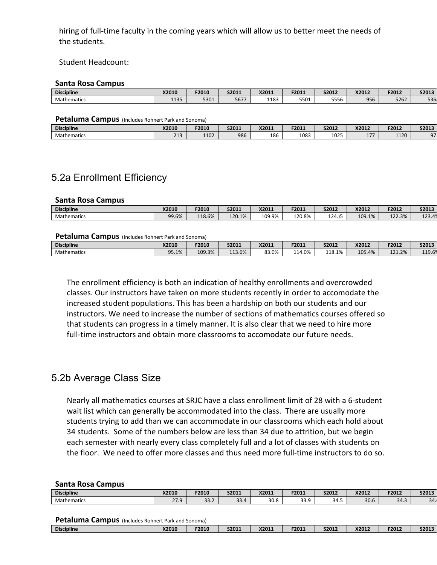hiring of full-time faculty in the coming years which will allow us to better meet the needs of the students.

#### Student Headcount:

#### **Santa Rosa Campus**

| <b>Discipline</b> | <b>X2010</b> | F2010 | S2011             | X2011 | F2011                   | S2012        | X2012 | F2012 | S2013        |
|-------------------|--------------|-------|-------------------|-------|-------------------------|--------------|-------|-------|--------------|
| Mathematics       | 1.00<br>ᅭᅭJJ | 5301  | 5677<br><b>JU</b> | 1183  | T <sub>04</sub><br>55U1 | ----<br>סככנ | 956   | 5262  | roc.<br>יסככ |

#### **Petaluma Campus** (Includes Rohnert Park and Sonoma)

| <b>Discipline</b>  | <b>X2010</b> | F2010 | S2011 | X2011 | F2011 | S2012 | X2012    | <b>E2013</b><br>-ZUIZ | S2013                |
|--------------------|--------------|-------|-------|-------|-------|-------|----------|-----------------------|----------------------|
| <b>Mathematics</b> | 212<br>---   | 1102  | 986   | 186   | 1083  | 1025  | .<br>- 1 | 1120<br>IIZU          | $\sim$ $\sim$<br>. . |

### 5.2a Enrollment Efficiency

#### **Santa Rosa Campus**

| <b>Discipline</b>  | <b>X2010</b> | F2010  | S2011  | X2011  | F2011  | S2012  | X2012  | F2012  | S2013                              |
|--------------------|--------------|--------|--------|--------|--------|--------|--------|--------|------------------------------------|
| <b>Mathematics</b> | 99.6%        | 118.6% | 120.1% | 109.9% | 120.8% | 124.)5 | 109.1% | 122.3% | $\sim$<br>$\overline{a}$<br>123.47 |

#### **Petaluma Campus** (Includes Rohnert Park and Sonoma)

| <b>Discipline</b> | X2010             | F2010  | S2011    | X2011             | F2011  | S2012  | X2012  | F2012  | S2013           |
|-------------------|-------------------|--------|----------|-------------------|--------|--------|--------|--------|-----------------|
| Mathematics       | 95.1%<br>$\Omega$ | 109.3% | $13.6\%$ | $\Omega$<br>83.0% | 114.0% | 118.1% | 105.4% | 121.2% | 110C<br>$-13.0$ |

The enrollment efficiency is both an indication of healthy enrollments and overcrowded classes. Our instructors have taken on more students recently in order to accomodate the increased student populations. This has been a hardship on both our students and our instructors. We need to increase the number of sections of mathematics courses offered so that students can progress in a timely manner. It is also clear that we need to hire more full-time instructors and obtain more classrooms to accomodate our future needs.

#### 5.2b Average Class Size

Nearly all mathematics courses at SRJC have a class enrollment limit of 28 with a 6-student wait list which can generally be accommodated into the class. There are usually more students trying to add than we can accommodate in our classrooms which each hold about 34 students. Some of the numbers below are less than 34 due to attrition, but we begin each semester with nearly every class completely full and a lot of classes with students on the floor. We need to offer more classes and thus need more full-time instructors to do so.

#### **Santa Rosa Campus**

| <b>Discipline</b>  | X2010 | F2010 | S2011 | X2011 | F2011 | S2012 | X2012 | F2012 | S2013 |
|--------------------|-------|-------|-------|-------|-------|-------|-------|-------|-------|
| <b>Mathematics</b> | 27.9  | 33.2  | 33.4  | 30.8  | 33.9  | 34.5  | 30.6  | 34.3  | 34.   |
|                    |       |       |       |       |       |       |       |       |       |
| - - -<br>-         |       |       |       |       |       |       |       |       |       |

#### **Petaluma Campus** (Includes Rohnert Park and Sonoma)

| __                |       |       |       |       |       |       |       |       |       |
|-------------------|-------|-------|-------|-------|-------|-------|-------|-------|-------|
| <b>Discipline</b> | X2010 | F2010 | S2011 | X2011 | F2011 | S2012 | X2012 | F2012 | S2013 |
|                   |       |       |       |       |       |       |       |       |       |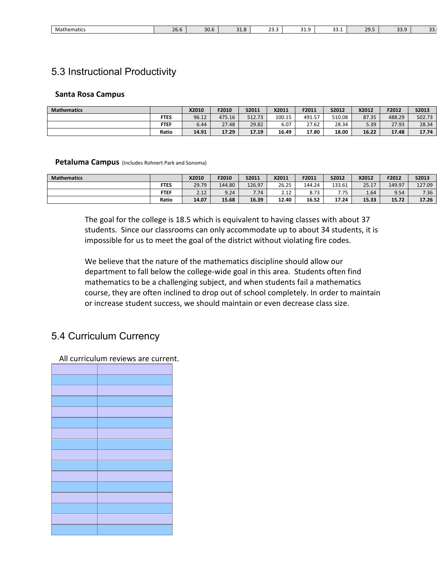| . .<br>Mathematics | 26.6 | $\sim$ $\sim$<br>30.D | <b>JI.O</b> | $\sim$<br>ر.رے | ۰.<br>. .<br>ر | $\sim$<br><b>JJ.L</b> | 20<br>້. ມາ | $\sim$ $\sim$<br><u>.</u><br>- - - | --<br><u>.</u> |
|--------------------|------|-----------------------|-------------|----------------|----------------|-----------------------|-------------|------------------------------------|----------------|

### 5.3 Instructional Productivity

#### **Santa Rosa Campus**

| <b>Mathematics</b> |             | X2010 | F2010  | S2011  | X2011  | F2011  | S2012  | X2012 | F2012  | S2013  |
|--------------------|-------------|-------|--------|--------|--------|--------|--------|-------|--------|--------|
|                    | <b>FTES</b> | 96.12 | 475.16 | 512.73 | 100.15 | 491.57 | 510.08 | 87.35 | 488.29 | 502.73 |
|                    | <b>FTEF</b> | 6.44  | 27.48  | 29.82  | 6.07   | 27.62  | 28.34  | 5.39  | 27.93  | 28.34  |
|                    | Ratio       | 14.91 | 17.29  | 17.19  | 16.49  | 17.80  | 18.00  | 16.22 | 17.48  | 17.74  |

#### **Petaluma Campus** (Includes Rohnert Park and Sonoma)

| <b>Mathematics</b> |             | <b>X2010</b> | F2010  | S2011  | X2011 | F2011  | S2012      | X2012 | F2012  | S2013  |
|--------------------|-------------|--------------|--------|--------|-------|--------|------------|-------|--------|--------|
|                    | <b>FTES</b> | 29.79        | 144.80 | 126.97 | 26.25 | 144.24 | 133.61     | 25.17 | 149.97 | 127.09 |
|                    | <b>FTEF</b> | 2.12         | 9.24   | 7.74   | 2.12  | 8.73   | 775<br>,,, | 1.64  | 9.54   | 7.36   |
|                    | Ratio       | 14.07        | 15.68  | 16.39  | 12.40 | 16.52  | 17.24      | 15.33 | 15.72  | 17.26  |

The goal for the college is 18.5 which is equivalent to having classes with about 37 students. Since our classrooms can only accommodate up to about 34 students, it is impossible for us to meet the goal of the district without violating fire codes.

We believe that the nature of the mathematics discipline should allow our department to fall below the college-wide goal in this area. Students often find mathematics to be a challenging subject, and when students fail a mathematics course, they are often inclined to drop out of school completely. In order to maintain or increase student success, we should maintain or even decrease class size.

### 5.4 Curriculum Currency

All curriculum reviews are current.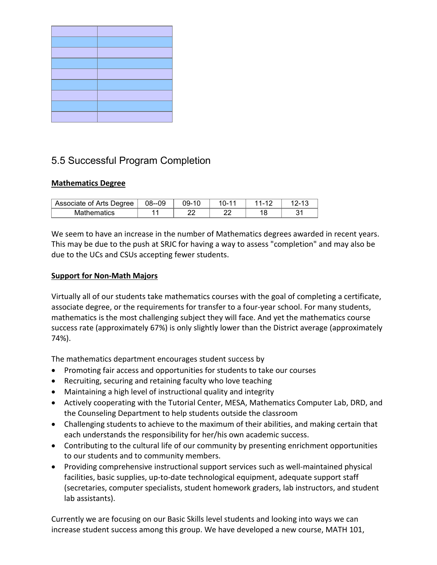# 5.5 Successful Program Completion

#### **Mathematics Degree**

| Associate of Arts Degree | 08--09 | 09-10 | ı ı. | <b>.</b> | <b>⁄−</b> I |
|--------------------------|--------|-------|------|----------|-------------|
| <b>Mathematics</b>       |        |       | n,   |          |             |

We seem to have an increase in the number of Mathematics degrees awarded in recent years. This may be due to the push at SRJC for having a way to assess "completion" and may also be due to the UCs and CSUs accepting fewer students.

#### **Support for Non-Math Majors**

Virtually all of our students take mathematics courses with the goal of completing a certificate, associate degree, or the requirements for transfer to a four-year school. For many students, mathematics is the most challenging subject they will face. And yet the mathematics course success rate (approximately 67%) is only slightly lower than the District average (approximately 74%).

The mathematics department encourages student success by

- Promoting fair access and opportunities for students to take our courses
- Recruiting, securing and retaining faculty who love teaching
- Maintaining a high level of instructional quality and integrity
- Actively cooperating with the Tutorial Center, MESA, Mathematics Computer Lab, DRD, and the Counseling Department to help students outside the classroom
- Challenging students to achieve to the maximum of their abilities, and making certain that each understands the responsibility for her/his own academic success.
- Contributing to the cultural life of our community by presenting enrichment opportunities to our students and to community members.
- Providing comprehensive instructional support services such as well-maintained physical facilities, basic supplies, up-to-date technological equipment, adequate support staff (secretaries, computer specialists, student homework graders, lab instructors, and student lab assistants).

Currently we are focusing on our Basic Skills level students and looking into ways we can increase student success among this group. We have developed a new course, MATH 101,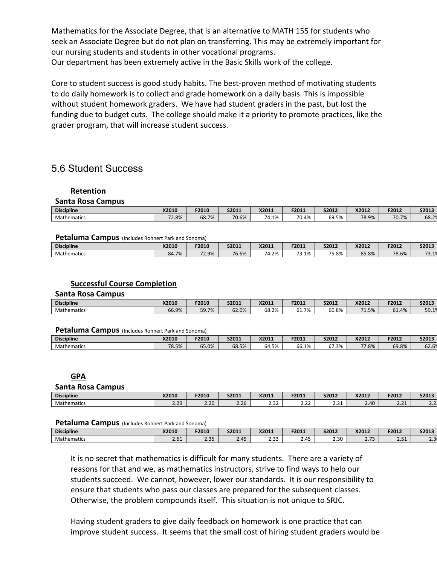Mathematics for the Associate Degree, that is an alternative to MATH 155 for students who seek an Associate Degree but do not plan on transferring. This may be extremely important for our nursing students and students in other vocational programs. Our department has been extremely active in the Basic Skills work of the college.

Core to student success is good study habits. The best-proven method of motivating students to do daily homework is to collect and grade homework on a daily basis. This is impossible without student homework graders. We have had student graders in the past, but lost the funding due to budget cuts. The college should make it a priority to promote practices, like the grader program, that will increase student success.

### 5.6 Student Success

#### **Retention**

#### **Santa Rosa Campus**

| <b>Discipline</b>  | <b>X2010</b> | F2010 | S2011 | X2011                  | F2011                            | S2012 | X2012 | F2012 | S2013 |
|--------------------|--------------|-------|-------|------------------------|----------------------------------|-------|-------|-------|-------|
| <b>Mathematics</b> | 72.8%        | 68.7% | 70.6% | .1%،<br>$\overline{ }$ | $\overline{\phantom{0}}$<br>0.4% | 69.5% | 78.9% | 70.7% | 68.2  |

#### **Petaluma Campus** (Includes Rohnert Park and Sonoma)

| <b>Discipline</b> | X2010                   | F2010 | S2011 | X2011             | F2011            | S2012 | X2012           | F2012 | S2013                                                  |
|-------------------|-------------------------|-------|-------|-------------------|------------------|-------|-----------------|-------|--------------------------------------------------------|
| Mathematics       | 84.7%<br>O <sub>A</sub> | 72.9% | 76.6% | $ \cdot$<br>74.2% | --<br>1%<br>---- | 75.8% | $\sim$<br>85.8% | 78.6% | $\overline{\phantom{0}}$<br>$\blacksquare$<br><u>.</u> |

#### **Successful Course Completion**

#### **Santa Rosa Campus**

| <b>Discipline</b>  | <b>X2010</b> | F2010                     | S2011 | X2011 | F2011  | S2012 | X2012                  | F2012                                | S2013 |
|--------------------|--------------|---------------------------|-------|-------|--------|-------|------------------------|--------------------------------------|-------|
| <b>Mathematics</b> | 66.9%        | 59 7%<br>JJ. <i>I 1</i> 0 | 62.0% | 68.2% | 1.7% ن | 60.8% | $\overline{a}$<br>1.5% | $\overline{\phantom{a}}$<br>4%<br>ОT | 59.19 |

#### Petaluma Campus (Includes Rohnert Park and Sonoma)

| <b>Discipline</b> | <b>X2010</b> | F2010 | S2011 | X2011 | F2011 | S2012 | X2012 | F2012 | S2013                     |
|-------------------|--------------|-------|-------|-------|-------|-------|-------|-------|---------------------------|
| Mathematics       | 78.5%        | 65.0% | 68.5% | 64.5% | 66.1% | 67.3% | 77.8% | 69.8% | $\sim$<br>$\sim$<br>02.07 |

#### **GPA**

#### **Santa Rosa Campus**

| <b>Discipline</b> | <b>X2010</b>       | F2010 | S2011                 | X2011          | F2011                    | <b>S2012</b>       | X2012               | F2012                   | S2013                   |
|-------------------|--------------------|-------|-----------------------|----------------|--------------------------|--------------------|---------------------|-------------------------|-------------------------|
| Mathematics       | $\Omega$<br>$\sim$ | 2.20  | $\sim$ $\sim$<br>2.ZD | $\sim$<br>ےں ے | $\sim$ $\sim$<br><u></u> | $\sim$<br><u>.</u> | $\sqrt{10}$<br>4.4V | $-24$<br><u>_ . _ i</u> | $\sim$ $\sim$<br>$\sim$ |

#### **Petaluma Campus** (Includes Rohnert Park and Sonoma)

| <b>Discipline</b> | X2010       | F2010             | S2011 | X2011           | F2011 | S2012       | X2012                   | F2012             | S2013           |
|-------------------|-------------|-------------------|-------|-----------------|-------|-------------|-------------------------|-------------------|-----------------|
| Mathematics       | 2C1<br>2.OT | $\Omega$<br>ر د.ء | 2.45  | $\sim$<br>ر ر.ء | 45    | חכר<br>2.3U | $\sim$ $\sim$<br>$\sim$ | $\sim$ $-$<br>. ت | $\Omega$<br>$-$ |

It is no secret that mathematics is difficult for many students. There are a variety of reasons for that and we, as mathematics instructors, strive to find ways to help our students succeed. We cannot, however, lower our standards. It is our responsibility to ensure that students who pass our classes are prepared for the subsequent classes. Otherwise, the problem compounds itself. This situation is not unique to SRJC.

Having student graders to give daily feedback on homework is one practice that can improve student success. It seems that the small cost of hiring student graders would be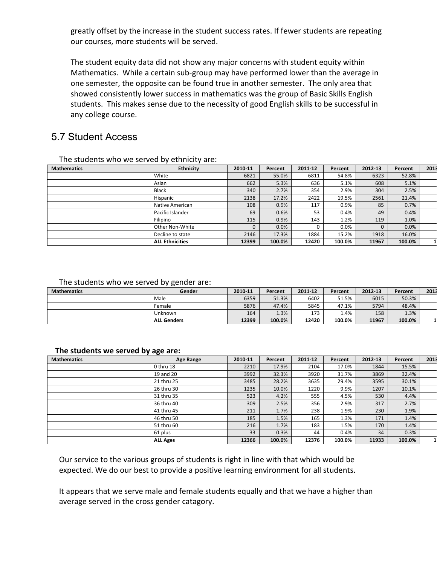greatly offset by the increase in the student success rates. If fewer students are repeating our courses, more students will be served.

The student equity data did not show any major concerns with student equity within Mathematics. While a certain sub-group may have performed lower than the average in one semester, the opposite can be found true in another semester. The only area that showed consistently lower success in mathematics was the group of Basic Skills English students. This makes sense due to the necessity of good English skills to be successful in any college course.

### 5.7 Student Access

| <b>Mathematics</b> | _ _ _ , _ _ .<br><b>Ethnicity</b> | 2010-11 | Percent | 2011-12 | Percent | 2012-13  | Percent | 2013 |
|--------------------|-----------------------------------|---------|---------|---------|---------|----------|---------|------|
|                    | White                             | 6821    | 55.0%   | 6811    | 54.8%   | 6323     | 52.8%   |      |
|                    | Asian                             | 662     | 5.3%    | 636     | 5.1%    | 608      | 5.1%    |      |
|                    | <b>Black</b>                      | 340     | 2.7%    | 354     | 2.9%    | 304      | 2.5%    |      |
|                    | Hispanic                          | 2138    | 17.2%   | 2422    | 19.5%   | 2561     | 21.4%   |      |
|                    | Native American                   | 108     | 0.9%    | 117     | 0.9%    | 85       | 0.7%    |      |
|                    | Pacific Islander                  | 69      | 0.6%    | 53      | 0.4%    | 49       | 0.4%    |      |
|                    | Filipino                          | 115     | 0.9%    | 143     | 1.2%    | 119      | 1.0%    |      |
|                    | Other Non-White                   |         | 0.0%    |         | 0.0%    | $\Omega$ | 0.0%    |      |
|                    | Decline to state                  | 2146    | 17.3%   | 1884    | 15.2%   | 1918     | 16.0%   |      |
|                    | <b>ALL Ethnicities</b>            | 12399   | 100.0%  | 12420   | 100.0%  | 11967    | 100.0%  | 11   |

The students who we served by ethnicity are:

#### The students who we served by gender are:

| <b>Mathematics</b> | Gender             | 2010-11 | Percent | 2011-12 | Percent | 2012-13 | Percent | 2013 |
|--------------------|--------------------|---------|---------|---------|---------|---------|---------|------|
|                    | Male               | 6359    | 51.3%   | 6402    | 51.5%   | 6015    | 50.3%   |      |
|                    | Female             | 5876    | 47.4%   | 5845    | 47.1%   | 5794    | 48.4%   |      |
|                    | Unknown            | 164     | 1.3%    | 173     | 1.4%    | 158     | 1.3%    |      |
|                    | <b>ALL Genders</b> | 12399   | 100.0%  | 12420   | 100.0%  | 11967   | 100.0%  |      |

#### **The students we served by age are:**

| <b>Mathematics</b> | Age Range       | 2010-11 | Percent | 2011-12 | Percent | 2012-13 | Percent | 2013 |
|--------------------|-----------------|---------|---------|---------|---------|---------|---------|------|
|                    | 0 thru 18       | 2210    | 17.9%   | 2104    | 17.0%   | 1844    | 15.5%   |      |
|                    | 19 and 20       | 3992    | 32.3%   | 3920    | 31.7%   | 3869    | 32.4%   |      |
|                    | 21 thru 25      | 3485    | 28.2%   | 3635    | 29.4%   | 3595    | 30.1%   |      |
|                    | 26 thru 30      | 1235    | 10.0%   | 1220    | 9.9%    | 1207    | 10.1%   |      |
|                    | 31 thru 35      | 523     | 4.2%    | 555     | 4.5%    | 530     | 4.4%    |      |
|                    | 36 thru 40      | 309     | 2.5%    | 356     | 2.9%    | 317     | 2.7%    |      |
|                    | 41 thru 45      | 211     | 1.7%    | 238     | 1.9%    | 230     | 1.9%    |      |
|                    | 46 thru 50      | 185     | 1.5%    | 165     | 1.3%    | 171     | 1.4%    |      |
|                    | 51 thru 60      | 216     | 1.7%    | 183     | 1.5%    | 170     | 1.4%    |      |
|                    | 61 plus         | 33      | 0.3%    | 44      | 0.4%    | 34      | 0.3%    |      |
|                    | <b>ALL Ages</b> | 12366   | 100.0%  | 12376   | 100.0%  | 11933   | 100.0%  | 11   |

Our service to the various groups of students is right in line with that which would be expected. We do our best to provide a positive learning environment for all students.

It appears that we serve male and female students equally and that we have a higher than average served in the cross gender catagory.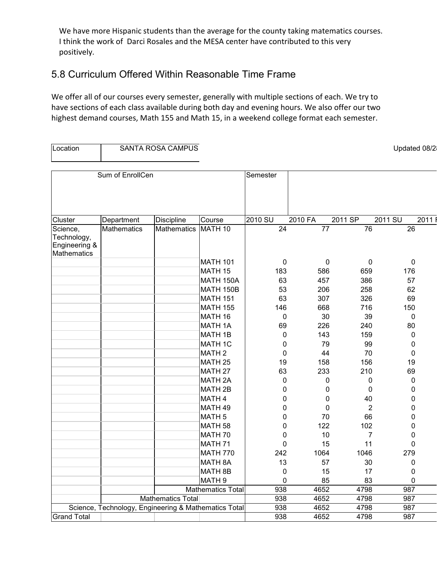We have more Hispanic students than the average for the county taking matematics courses. I think the work of Darci Rosales and the MESA center have contributed to this very positively.

### 5.8 Curriculum Offered Within Reasonable Time Frame

We offer all of our courses every semester, generally with multiple sections of each. We try to have sections of each class available during both day and evening hours. We also offer our two highest demand courses, Math 155 and Math 15, in a weekend college format each semester.

| Location                                                |                    | SANTA ROSA CAMPUS                                    |                          |           |                 |                 | Updated 08/2     |      |
|---------------------------------------------------------|--------------------|------------------------------------------------------|--------------------------|-----------|-----------------|-----------------|------------------|------|
|                                                         |                    |                                                      |                          |           |                 |                 |                  |      |
|                                                         | Sum of EnrollCen   |                                                      |                          | Semester  |                 |                 |                  |      |
|                                                         |                    |                                                      |                          |           |                 |                 |                  |      |
| Cluster                                                 | Department         | <b>Discipline</b>                                    | Course                   | 2010 SU   | 2010 FA         | 2011 SP         | 2011 SU          | 2011 |
| Science,<br>Technology,<br>Engineering &<br>Mathematics | <b>Mathematics</b> | <b>Mathematics</b>                                   | MATH <sub>10</sub>       | 24        | $\overline{77}$ | $\overline{76}$ | 26               |      |
|                                                         |                    |                                                      | <b>MATH 101</b>          | $\pmb{0}$ | 0               | $\mathbf 0$     | $\mathbf 0$      |      |
|                                                         |                    |                                                      | MATH 15                  | 183       | 586             | 659             | 176              |      |
|                                                         |                    |                                                      | MATH 150A                | 63        | 457             | 386             | 57               |      |
|                                                         |                    |                                                      | <b>MATH 150B</b>         | 53        | 206             | 258             | 62               |      |
|                                                         |                    |                                                      | <b>MATH 151</b>          | 63        | 307             | 326             | 69               |      |
|                                                         |                    |                                                      | <b>MATH 155</b>          | 146       | 668             | 716             | 150              |      |
|                                                         |                    |                                                      | MATH 16                  | 0         | 30              | 39              | $\mathbf 0$      |      |
|                                                         |                    |                                                      | <b>MATH 1A</b>           | 69        | 226             | 240             | 80               |      |
|                                                         |                    |                                                      | <b>MATH 1B</b>           | 0         | 143             | 159             | 0                |      |
|                                                         |                    |                                                      | <b>MATH 1C</b>           | 0         | 79              | 99              | 0                |      |
|                                                         |                    |                                                      | <b>MATH2</b>             | 0         | 44              | 70              | 0                |      |
|                                                         |                    |                                                      | MATH <sub>25</sub>       | 19        | 158             | 156             | 19               |      |
|                                                         |                    |                                                      | MATH <sub>27</sub>       | 63        | 233             | 210             | 69               |      |
|                                                         |                    |                                                      | <b>MATH 2A</b>           | 0         | 0               | 0               | $\boldsymbol{0}$ |      |
|                                                         |                    |                                                      | MATH <sub>2B</sub>       | 0         | 0               | 0               | 0                |      |
|                                                         |                    |                                                      | MATH 4                   | 0         | 0               | 40              | 0                |      |
|                                                         |                    |                                                      | MATH 49                  | 0         | 0               | $\overline{2}$  | 0                |      |
|                                                         |                    |                                                      | MATH <sub>5</sub>        | 0         | 70              | 66              | 0                |      |
|                                                         |                    |                                                      | MATH <sub>58</sub>       | 0         | 122             | 102             | 0                |      |
|                                                         |                    |                                                      | MATH 70                  | 0         | 10              | 7               | 0                |      |
|                                                         |                    |                                                      | MATH <sub>71</sub>       | 0         | 15              | 11              | 0                |      |
|                                                         |                    |                                                      | <b>MATH 770</b>          | 242       | 1064            | 1046            | 279              |      |
|                                                         |                    |                                                      | <b>MATH 8A</b>           | 13        | 57              | 30              | 0                |      |
|                                                         |                    |                                                      | MATH 8B                  | 0         | 15              | 17              | 0                |      |
|                                                         |                    |                                                      | MATH <sub>9</sub>        | 0         | 85              | 83              | 0                |      |
|                                                         |                    |                                                      | <b>Mathematics Total</b> | 938       | 4652            | 4798            | 987              |      |
|                                                         |                    | Mathematics Total                                    |                          | 938       | 4652            | 4798            | 987              |      |
|                                                         |                    | Science, Technology, Engineering & Mathematics Total |                          | 938       | 4652            | 4798            | 987              |      |
| <b>Grand Total</b>                                      |                    |                                                      |                          | 938       | 4652            | 4798            | 987              |      |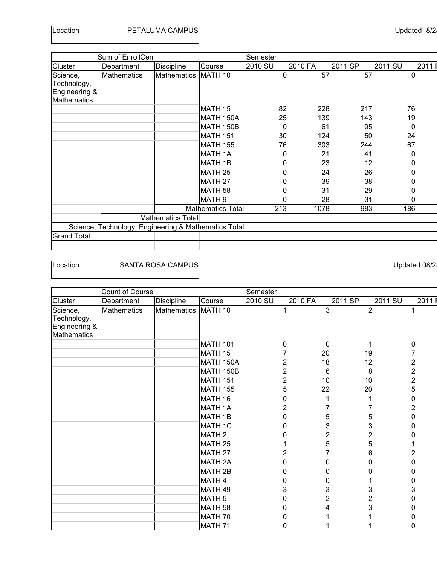| Location | PETALUMA CAMPUS |
|----------|-----------------|
|          |                 |

|                    | Sum of EnrollCen                                     |                   |                          | Semester |             |         |         |         |      |
|--------------------|------------------------------------------------------|-------------------|--------------------------|----------|-------------|---------|---------|---------|------|
| Cluster            | Department                                           | <b>Discipline</b> | Course                   | 2010 SU  |             | 2010 FA | 2011 SP | 2011 SU | 2011 |
| Science,           | <b>Mathematics</b>                                   | Mathematics       | MATH <sub>10</sub>       |          | $\mathbf 0$ | 57      | 57      | 0       |      |
| Technology,        |                                                      |                   |                          |          |             |         |         |         |      |
| Engineering &      |                                                      |                   |                          |          |             |         |         |         |      |
| <b>Mathematics</b> |                                                      |                   |                          |          |             |         |         |         |      |
|                    |                                                      |                   | MATH 15                  |          | 82          | 228     | 217     | 76      |      |
|                    |                                                      |                   | MATH 150A                |          | 25          | 139     | 143     | 19      |      |
|                    |                                                      |                   | MATH 150B                |          | 0           | 61      | 95      | 0       |      |
|                    |                                                      |                   | <b>MATH 151</b>          |          | 30          | 124     | 50      | 24      |      |
|                    |                                                      |                   | <b>MATH 155</b>          |          | 76          | 303     | 244     | 67      |      |
|                    |                                                      |                   | <b>MATH 1A</b>           |          | 0           | 21      | 41      | 0       |      |
|                    |                                                      |                   | <b>MATH 1B</b>           |          | 0           | 23      | 12      | 0       |      |
|                    |                                                      |                   | MATH <sub>25</sub>       |          | O           | 24      | 26      | 0       |      |
|                    |                                                      |                   | MATH <sub>27</sub>       |          |             | 39      | 38      | 0       |      |
|                    |                                                      |                   | MATH <sub>58</sub>       |          | Ω           | 31      | 29      | 0       |      |
|                    |                                                      |                   | MATH <sub>9</sub>        |          | O           | 28      | 31      | 0       |      |
|                    |                                                      |                   | <b>Mathematics Total</b> |          | 213         | 1078    | 983     | 186     |      |
|                    |                                                      | Mathematics Total |                          |          |             |         |         |         |      |
|                    | Science, Technology, Engineering & Mathematics Total |                   |                          |          |             |         |         |         |      |
| <b>Grand Total</b> |                                                      |                   |                          |          |             |         |         |         |      |
|                    |                                                      |                   |                          |          |             |         |         |         |      |

Location **SANTA ROSA CAMPUS CONSERVANTA ROSA CAMPUS Updated 08/2** 

|                                                                | Count of Course    |                    |                    | Semester       |         |                |                |                         |
|----------------------------------------------------------------|--------------------|--------------------|--------------------|----------------|---------|----------------|----------------|-------------------------|
| Cluster                                                        | Department         | Discipline         | Course             | 2010 SU        | 2010 FA | 2011 SP        | 2011 SU        | 2011                    |
| Science,<br>Technology,<br>Engineering &<br><b>Mathematics</b> | <b>Mathematics</b> | <b>Mathematics</b> | MATH 10            |                |         | $\overline{3}$ | $\overline{2}$ |                         |
|                                                                |                    |                    | <b>MATH 101</b>    | $\mathbf{0}$   |         | 0              |                | 0                       |
|                                                                |                    |                    | MATH 15            |                |         | 20             | 19             | 7                       |
|                                                                |                    |                    | MATH 150A          | 2              |         | 18             | 12             | $\overline{\mathbf{c}}$ |
|                                                                |                    |                    | MATH 150B          | $\overline{2}$ |         | 6              | 8              | $\overline{2}$          |
|                                                                |                    |                    | <b>MATH 151</b>    | 2              |         | 10             | 10             | $\overline{2}$          |
|                                                                |                    |                    | <b>MATH 155</b>    | 5              |         | 22             | 20             | 5                       |
|                                                                |                    |                    | MATH 16            | n              |         |                |                | $\pmb{0}$               |
|                                                                |                    |                    | <b>MATH 1A</b>     | 2              |         |                | 7              | $\overline{2}$          |
|                                                                |                    |                    | MATH 1B            | ი              |         | 5              | 5              | 0                       |
|                                                                |                    |                    | <b>MATH 1C</b>     |                |         | 3              | 3              | 0                       |
|                                                                |                    |                    | MATH <sub>2</sub>  |                |         | 2              | 2              | 0                       |
|                                                                |                    |                    | MATH <sub>25</sub> |                |         | 5              | 5              |                         |
|                                                                |                    |                    | MATH <sub>27</sub> | 2              |         |                | 6              | 2                       |
|                                                                |                    |                    | <b>MATH 2A</b>     | n              |         | 0              | 0              | 0                       |
|                                                                |                    |                    | MATH <sub>2B</sub> |                |         | 0              | 0              | 0                       |
|                                                                |                    |                    | MATH 4             | n              |         | 0              |                | 0                       |
|                                                                |                    |                    | MATH 49            | 3              |         | 3              | 3              | 3                       |
|                                                                |                    |                    | MATH <sub>5</sub>  | O              |         | $\overline{2}$ | 2              | 0                       |
|                                                                |                    |                    | MATH <sub>58</sub> |                |         |                | 3              | 0                       |
|                                                                |                    |                    | MATH 70            |                |         |                |                | 0                       |
|                                                                |                    |                    | MATH 71            | O              |         |                |                | 0                       |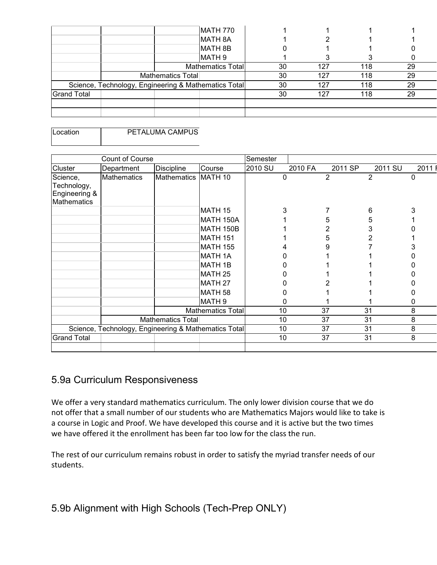|                    | MATH 770                                             |    |     |     |    |
|--------------------|------------------------------------------------------|----|-----|-----|----|
|                    | <b>MATH 8A</b>                                       |    |     |     |    |
|                    | MATH 8B                                              |    |     |     |    |
|                    | MATH 9                                               |    |     |     |    |
|                    | Mathematics Total                                    | 30 | 127 | 118 | 29 |
|                    | Mathematics Total                                    | 30 | 127 | 118 | 29 |
|                    | Science, Technology, Engineering & Mathematics Total | 30 | 127 | 118 | 29 |
| <b>Grand Total</b> |                                                      | 30 | 127 | 118 | 29 |
|                    |                                                      |    |     |     |    |
|                    |                                                      |    |     |     |    |

Location | PETALUMA CAMPUS

|                                                         | <b>Count of Course</b>                               |                    |                          | Semester |         |         |         |      |
|---------------------------------------------------------|------------------------------------------------------|--------------------|--------------------------|----------|---------|---------|---------|------|
| Cluster                                                 | Department                                           | <b>Discipline</b>  | Course                   | 2010 SU  | 2010 FA | 2011 SP | 2011 SU | 2011 |
| Science,<br>Technology,<br>Engineering &<br>Mathematics | <b>Mathematics</b>                                   | <b>Mathematics</b> | MATH 10                  | 0        |         | 2       | 2       | 0    |
|                                                         |                                                      |                    | MATH 15                  | 3        |         |         | 6       |      |
|                                                         |                                                      |                    | MATH 150A                |          |         | 5       | 5       |      |
|                                                         |                                                      |                    | MATH 150B                |          |         |         | 3       |      |
|                                                         |                                                      |                    | MATH 151                 |          |         | 5       |         |      |
|                                                         |                                                      |                    | <b>MATH 155</b>          |          |         |         |         |      |
|                                                         |                                                      |                    | <b>MATH 1A</b>           |          |         |         |         |      |
|                                                         |                                                      |                    | MATH 1B                  |          |         |         |         |      |
|                                                         |                                                      |                    | MATH <sub>25</sub>       |          |         |         |         |      |
|                                                         |                                                      |                    | MATH <sub>27</sub>       |          |         |         |         |      |
|                                                         |                                                      |                    | MATH <sub>58</sub>       |          |         |         |         |      |
|                                                         |                                                      |                    | MATH <sub>9</sub>        | O        |         |         |         | 0    |
|                                                         |                                                      |                    | <b>Mathematics Total</b> | 10       |         | 37      | 31      | 8    |
|                                                         |                                                      | Mathematics Total  |                          | 10       |         | 37      | 31      | 8    |
|                                                         | Science, Technology, Engineering & Mathematics Total |                    |                          | 10       |         | 37      | 31      | 8    |
| <b>Grand Total</b>                                      |                                                      |                    |                          | 10       |         | 37      | 31      | 8    |
|                                                         |                                                      |                    |                          |          |         |         |         |      |

# 5.9a Curriculum Responsiveness

We offer a very standard mathematics curriculum. The only lower division course that we do not offer that a small number of our students who are Mathematics Majors would like to take is a course in Logic and Proof. We have developed this course and it is active but the two times we have offered it the enrollment has been far too low for the class the run.

The rest of our curriculum remains robust in order to satisfy the myriad transfer needs of our students.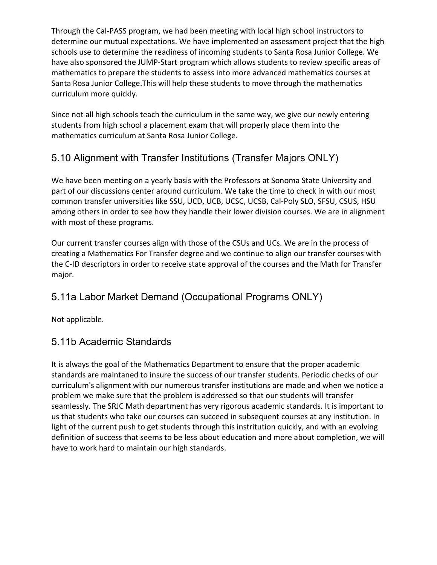Through the Cal-PASS program, we had been meeting with local high school instructors to determine our mutual expectations. We have implemented an assessment project that the high schools use to determine the readiness of incoming students to Santa Rosa Junior College. We have also sponsored the JUMP-Start program which allows students to review specific areas of mathematics to prepare the students to assess into more advanced mathematics courses at Santa Rosa Junior College.This will help these students to move through the mathematics curriculum more quickly.

Since not all high schools teach the curriculum in the same way, we give our newly entering students from high school a placement exam that will properly place them into the mathematics curriculum at Santa Rosa Junior College.

# 5.10 Alignment with Transfer Institutions (Transfer Majors ONLY)

We have been meeting on a yearly basis with the Professors at Sonoma State University and part of our discussions center around curriculum. We take the time to check in with our most common transfer universities like SSU, UCD, UCB, UCSC, UCSB, Cal-Poly SLO, SFSU, CSUS, HSU among others in order to see how they handle their lower division courses. We are in alignment with most of these programs.

Our current transfer courses align with those of the CSUs and UCs. We are in the process of creating a Mathematics For Transfer degree and we continue to align our transfer courses with the C-ID descriptors in order to receive state approval of the courses and the Math for Transfer major.

# 5.11a Labor Market Demand (Occupational Programs ONLY)

Not applicable.

# 5.11b Academic Standards

It is always the goal of the Mathematics Department to ensure that the proper academic standards are maintaned to insure the success of our transfer students. Periodic checks of our curriculum's alignment with our numerous transfer institutions are made and when we notice a problem we make sure that the problem is addressed so that our students will transfer seamlessly. The SRJC Math department has very rigorous academic standards. It is important to us that students who take our courses can succeed in subsequent courses at any institution. In light of the current push to get students through this instritution quickly, and with an evolving definition of success that seems to be less about education and more about completion, we will have to work hard to maintain our high standards.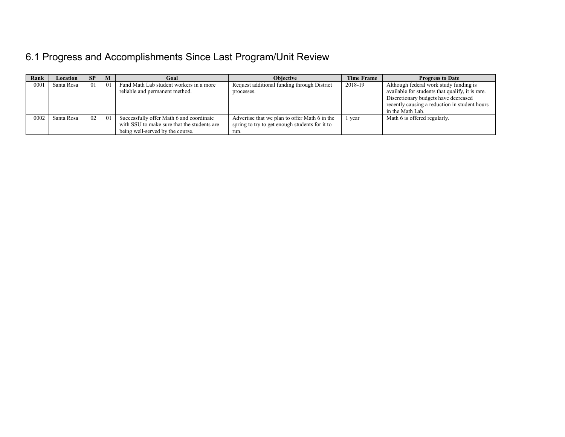# 6.1 Progress and Accomplishments Since Last Program/Unit Review

| Rank | Location   | -SP | M   | Goal                                        | <b>Objective</b>                               | <b>Time Frame</b> | <b>Progress to Date</b>                          |
|------|------------|-----|-----|---------------------------------------------|------------------------------------------------|-------------------|--------------------------------------------------|
| 0001 | Santa Rosa | 01  | 01  | Fund Math Lab student workers in a more     | Request additional funding through District    | 2018-19           | Although federal work study funding is           |
|      |            |     |     | reliable and permanent method.              | processes.                                     |                   | available for students that qualify, it is rare. |
|      |            |     |     |                                             |                                                |                   | Discretionary budgets have decreased             |
|      |            |     |     |                                             |                                                |                   | recently causing a reduction in student hours    |
|      |            |     |     |                                             |                                                |                   | in the Math Lab.                                 |
| 0002 | Santa Rosa | 02  | -01 | Successfully offer Math 6 and coordinate    | Advertise that we plan to offer Math 6 in the  | 1 year            | Math 6 is offered regularly.                     |
|      |            |     |     | with SSU to make sure that the students are | spring to try to get enough students for it to |                   |                                                  |
|      |            |     |     | being well-served by the course.            | run.                                           |                   |                                                  |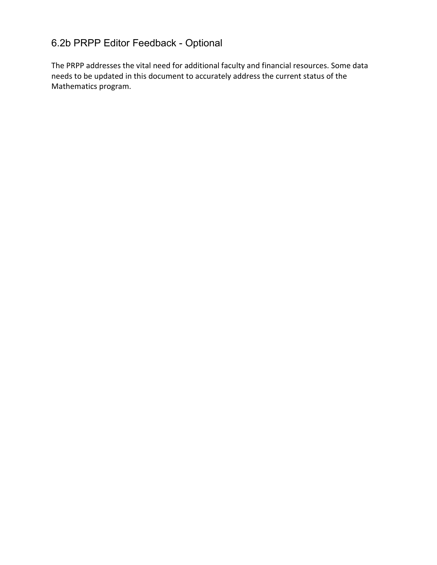# 6.2b PRPP Editor Feedback - Optional

The PRPP addresses the vital need for additional faculty and financial resources. Some data needs to be updated in this document to accurately address the current status of the Mathematics program.